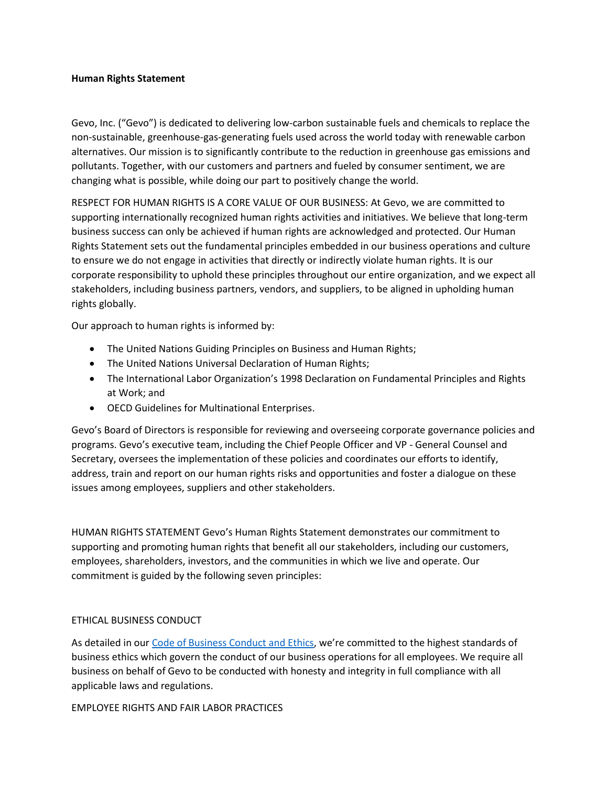#### **Human Rights Statement**

Gevo, Inc. ("Gevo") is dedicated to delivering low-carbon sustainable fuels and chemicals to replace the non-sustainable, greenhouse-gas-generating fuels used across the world today with renewable carbon alternatives. Our mission is to significantly contribute to the reduction in greenhouse gas emissions and pollutants. Together, with our customers and partners and fueled by consumer sentiment, we are changing what is possible, while doing our part to positively change the world.

RESPECT FOR HUMAN RIGHTS IS A CORE VALUE OF OUR BUSINESS: At Gevo, we are committed to supporting internationally recognized human rights activities and initiatives. We believe that long-term business success can only be achieved if human rights are acknowledged and protected. Our Human Rights Statement sets out the fundamental principles embedded in our business operations and culture to ensure we do not engage in activities that directly or indirectly violate human rights. It is our corporate responsibility to uphold these principles throughout our entire organization, and we expect all stakeholders, including business partners, vendors, and suppliers, to be aligned in upholding human rights globally.

Our approach to human rights is informed by:

- The United Nations Guiding Principles on Business and Human Rights;
- The United Nations Universal Declaration of Human Rights;
- The International Labor Organization's 1998 Declaration on Fundamental Principles and Rights at Work; and
- OECD Guidelines for Multinational Enterprises.

Gevo's Board of Directors is responsible for reviewing and overseeing corporate governance policies and programs. Gevo's executive team, including the Chief People Officer and VP - General Counsel and Secretary, oversees the implementation of these policies and coordinates our efforts to identify, address, train and report on our human rights risks and opportunities and foster a dialogue on these issues among employees, suppliers and other stakeholders.

HUMAN RIGHTS STATEMENT Gevo's Human Rights Statement demonstrates our commitment to supporting and promoting human rights that benefit all our stakeholders, including our customers, employees, shareholders, investors, and the communities in which we live and operate. Our commitment is guided by the following seven principles:

### ETHICAL BUSINESS CONDUCT

As detailed in our [Code of Business Conduct and Ethics](https://investors.gevo.com/_resources/corporate-documents/Gevo-Code-of-Business-Conduct-and-Ethics.pdf?v=0.686?v=0.597), we're committed to the highest standards of business ethics which govern the conduct of our business operations for all employees. We require all business on behalf of Gevo to be conducted with honesty and integrity in full compliance with all applicable laws and regulations.

EMPLOYEE RIGHTS AND FAIR LABOR PRACTICES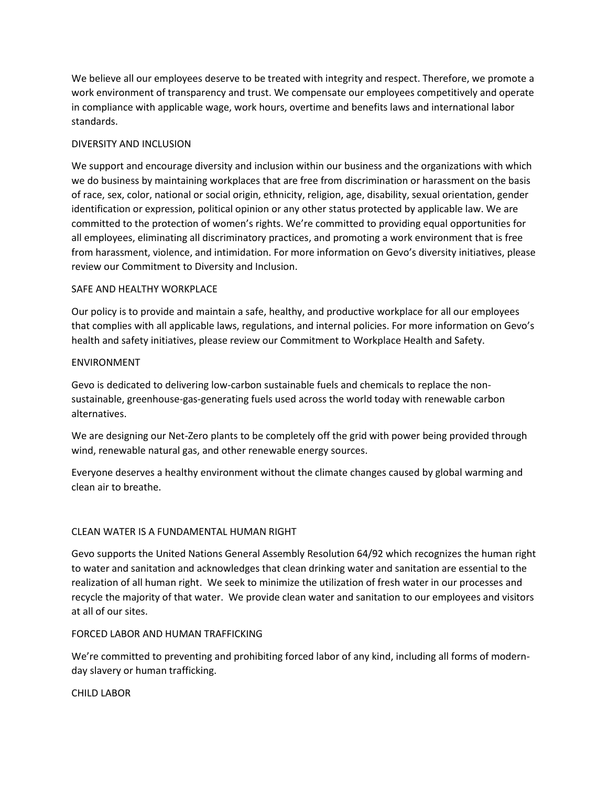We believe all our employees deserve to be treated with integrity and respect. Therefore, we promote a work environment of transparency and trust. We compensate our employees competitively and operate in compliance with applicable wage, work hours, overtime and benefits laws and international labor standards.

## DIVERSITY AND INCLUSION

We support and encourage diversity and inclusion within our business and the organizations with which we do business by maintaining workplaces that are free from discrimination or harassment on the basis of race, sex, color, national or social origin, ethnicity, religion, age, disability, sexual orientation, gender identification or expression, political opinion or any other status protected by applicable law. We are committed to the protection of women's rights. We're committed to providing equal opportunities for all employees, eliminating all discriminatory practices, and promoting a work environment that is free from harassment, violence, and intimidation. For more information on Gevo's diversity initiatives, please review our Commitment to Diversity and Inclusion.

### SAFE AND HEALTHY WORKPLACE

Our policy is to provide and maintain a safe, healthy, and productive workplace for all our employees that complies with all applicable laws, regulations, and internal policies. For more information on Gevo's health and safety initiatives, please review our Commitment to Workplace Health and Safety.

### ENVIRONMENT

Gevo is dedicated to delivering low-carbon sustainable fuels and chemicals to replace the nonsustainable, greenhouse-gas-generating fuels used across the world today with renewable carbon alternatives.

We are designing our Net-Zero plants to be completely off the grid with power being provided through wind, renewable natural gas, and other renewable energy sources.

Everyone deserves a healthy environment without the climate changes caused by global warming and clean air to breathe.

### CLEAN WATER IS A FUNDAMENTAL HUMAN RIGHT

Gevo supports the United Nations General Assembly Resolution 64/92 which recognizes the human right to water and sanitation and acknowledges that clean drinking water and sanitation are essential to the realization of all human right. We seek to minimize the utilization of fresh water in our processes and recycle the majority of that water. We provide clean water and sanitation to our employees and visitors at all of our sites.

### FORCED LABOR AND HUMAN TRAFFICKING

We're committed to preventing and prohibiting forced labor of any kind, including all forms of modernday slavery or human trafficking.

CHILD LABOR